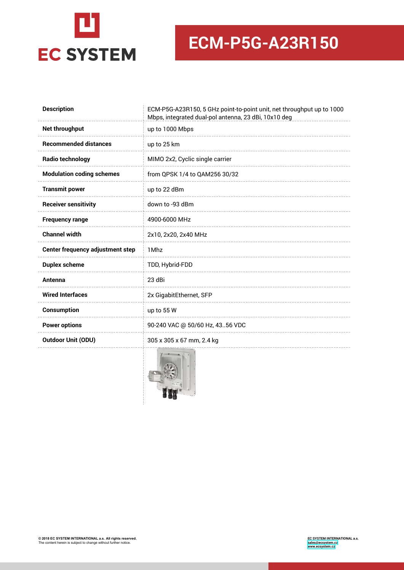

# **ECM-P5G-A23R150**

| <b>Description</b>                      | ECM-P5G-A23R150, 5 GHz point-to-point unit, net throughput up to 1000<br>Mbps, integrated dual-pol antenna, 23 dBi, 10x10 deg |
|-----------------------------------------|-------------------------------------------------------------------------------------------------------------------------------|
| Net throughput                          | up to 1000 Mbps                                                                                                               |
| <b>Recommended distances</b>            | up to 25 km                                                                                                                   |
| <b>Radio technology</b>                 | MIMO 2x2, Cyclic single carrier                                                                                               |
| <b>Modulation coding schemes</b>        | from QPSK 1/4 to QAM256 30/32                                                                                                 |
| <b>Transmit power</b>                   | up to 22 dBm                                                                                                                  |
| <b>Receiver sensitivity</b>             | down to -93 dBm                                                                                                               |
| <b>Frequency range</b>                  | 4900-6000 MHz                                                                                                                 |
| <b>Channel width</b>                    | 2x10, 2x20, 2x40 MHz                                                                                                          |
| <b>Center frequency adjustment step</b> | 1 Mhz                                                                                                                         |
| <b>Duplex scheme</b>                    | TDD, Hybrid-FDD                                                                                                               |
| Antenna                                 | 23 dBi                                                                                                                        |
| <b>Wired Interfaces</b>                 | 2x GigabitEthernet, SFP                                                                                                       |
| Consumption                             | up to 55 W                                                                                                                    |
| <b>Power options</b>                    | 90-240 VAC @ 50/60 Hz, 4356 VDC                                                                                               |
| <b>Outdoor Unit (ODU)</b>               | 305 x 305 x 67 mm, 2.4 kg                                                                                                     |
|                                         |                                                                                                                               |